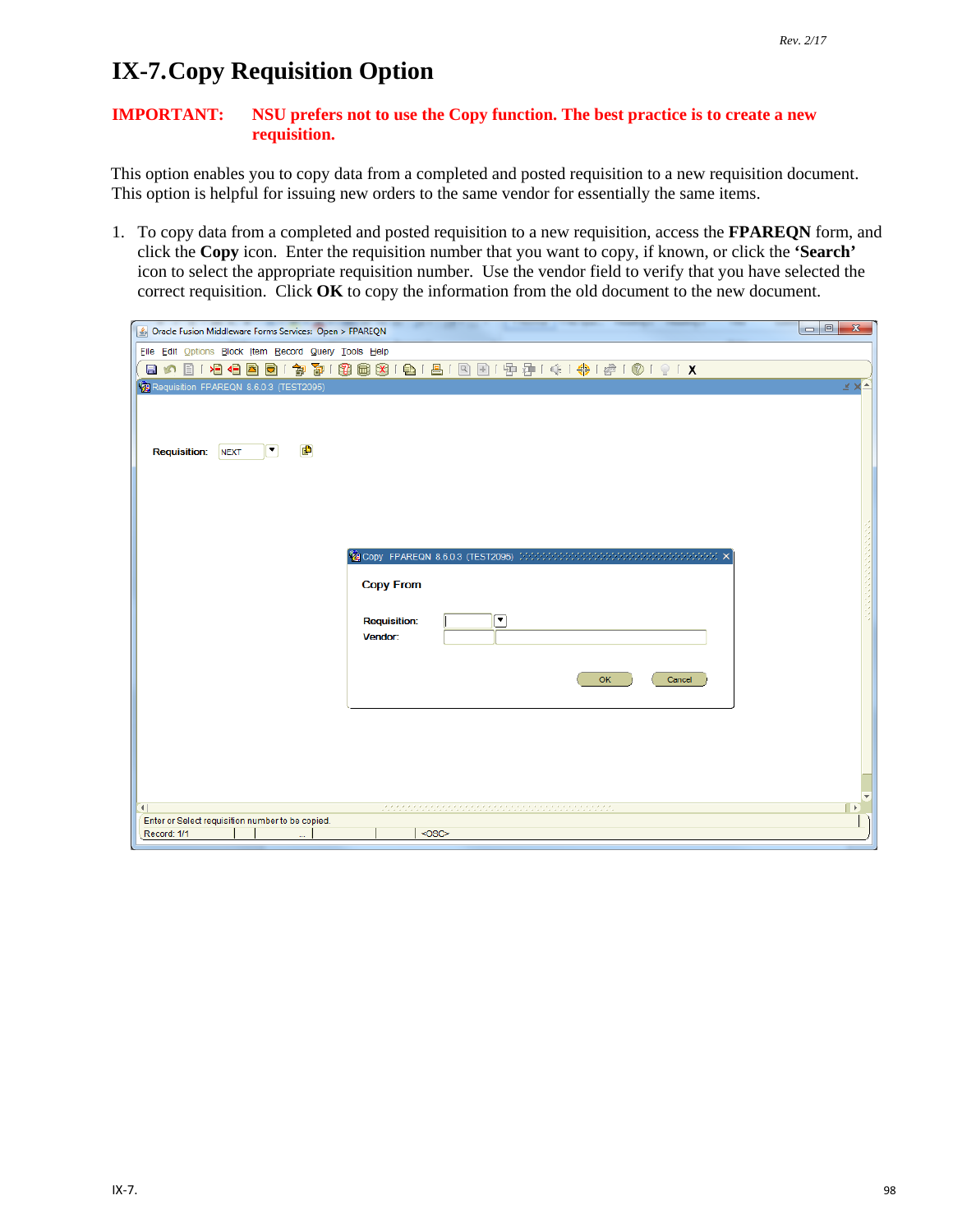## **IX-7. Copy Requisition Option**

## **IMPORTANT: NSU prefers not to use the Copy function. The best practice is to create a new requisition.**

This option enables you to copy data from a completed and posted requisition to a new requisition document. This option is helpful for issuing new orders to the same vendor for essentially the same items.

1. To copy data from a completed and posted requisition to a new requisition, access the **FPAREQN** form, and click the **Copy** icon. Enter the requisition number that you want to copy, if known, or click the **'Search'** icon to select the appropriate requisition number. Use the vendor field to verify that you have selected the correct requisition. Click **OK** to copy the information from the old document to the new document.

| $\begin{array}{c c c c c} \hline \multicolumn{3}{c }{\textbf{0}} & \multicolumn{3}{c }{\textbf{0}} \end{array}$<br>$\mathbf{x}$<br>Dracle Fusion Middleware Forms Services: Open > FPAREQN |                                                                        |      |  |  |
|--------------------------------------------------------------------------------------------------------------------------------------------------------------------------------------------|------------------------------------------------------------------------|------|--|--|
| File Edit Options Block Item Record Query Tools Help                                                                                                                                       |                                                                        |      |  |  |
|                                                                                                                                                                                            | 日の目1日日目目1家30183回8181日1日1日目中中1中1中10191X                                 |      |  |  |
| Requisition FPAREQN 8.6.0.3 (TEST2095)                                                                                                                                                     |                                                                        | ≚ ×≛ |  |  |
| Ð<br>E<br><b>Requisition:</b><br><b>NEXT</b>                                                                                                                                               |                                                                        |      |  |  |
|                                                                                                                                                                                            |                                                                        |      |  |  |
|                                                                                                                                                                                            | <b>饱Copy FPAREQN 8.6.0.3 (TEST2095)</b> たたたたたたたたたたたたたたたたたたたたたたたたたたたたたた |      |  |  |
|                                                                                                                                                                                            | <b>Copy From</b>                                                       |      |  |  |
|                                                                                                                                                                                            | ⊡<br><b>Requisition:</b><br>Vendor:                                    |      |  |  |
|                                                                                                                                                                                            | OK<br>Cancel                                                           |      |  |  |
|                                                                                                                                                                                            |                                                                        |      |  |  |
|                                                                                                                                                                                            |                                                                        |      |  |  |
| $\mathbb{E}$<br>$\left  \cdot \right $<br>Enter or Select requisition number to be copied.                                                                                                 |                                                                        |      |  |  |
| Record: 1/1                                                                                                                                                                                | <osc></osc>                                                            |      |  |  |